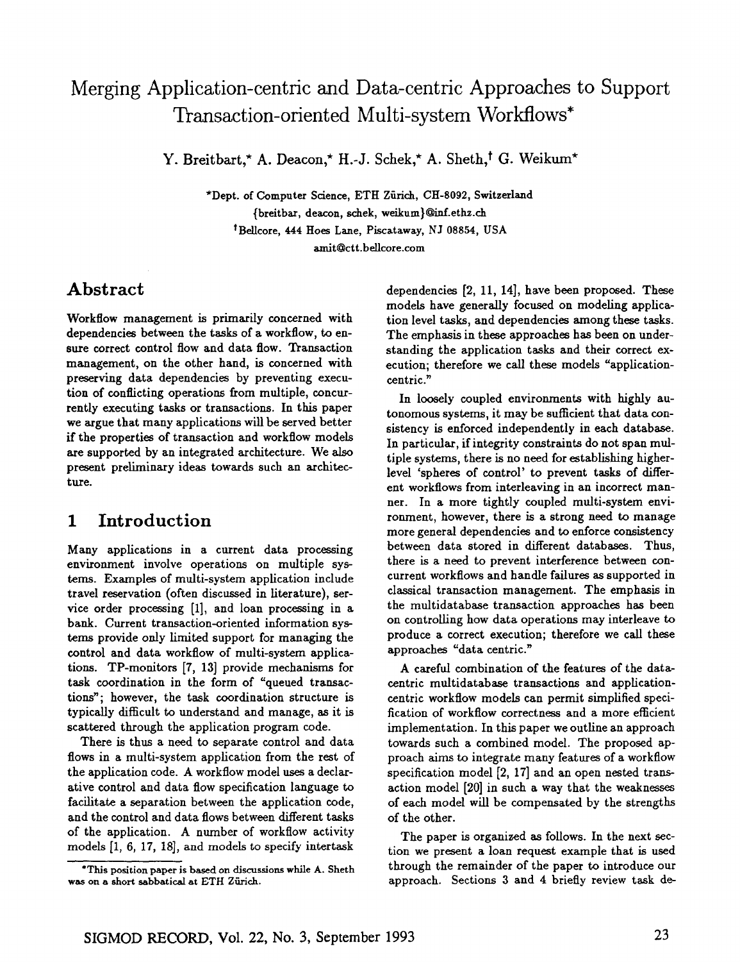# **Merging Application-centric and Data-centric Approaches to Support Transaction-oriented Multi-system Workflows\***

Y. Breitbart,\* A. Deacon,\* H.-J. Schek,\* A. Sheth,<sup>†</sup> G. Weikum\*

\*Dept. of Computer Science, ETH Zfirich, CH-8092, Switzerland {breitbax, deacon, schek, weikum}~inf.ethz.ch <sup>†</sup>Bellcore, 444 Hoes Lane, Piscataway, NJ 08854, USA amit@ct t.bellcore.com

## **Abstract**

Workflow management is primarily concerned with dependencies between the tasks of a workflow, to ensure correct control flow and data flow. Transaction management, on the other hand, is concerned with preserving data dependencies by preventing execution of conflicting operations from multiple, concurrently executing tasks or transactions. In this paper we argue that many applications will be served better if the properties of transaction and workflow models are supported by an integrated architecture. We also present preliminary ideas towards such an architecture.

## **1 Introduction**

Many applications in a current data processing environment involve operations on multiple systems. Examples of multi-system application include travel reservation (often discussed in literature), service order processing [1], and loan processing in a bank. Current transaction-oriented information systems provide only limited support for managing the control and data workflow of multi-system applications. TP-monitors [7, 13] provide mechanisms for task coordination in the form of "queued transactions"; however, the task coordination structure is typically difficult to understand and manage, as it is scattered through the application program code.

There is thus a need to separate control and data flows in a multi-system application from the rest of the application code. A workflow model uses a declarative control and data flow specification language to facilitate a separation between the application code, and the control and data flows between different tasks of the application. A number of workflow activity models [1, 6, 17, 18], and models to specify intertask

dependencies [2, 11, 14], have been proposed. These models have generally focused on modeling application level tasks, and dependencies among these tasks. The emphasis in these approaches has been on understanding the application tasks and their correct execution; therefore we call these models "applicationcentric."

In loosely coupled environments with highly autonomons systems, it may be sufficient that data consistency is enforced independently in each database. In particular, if integrity constraints do not span multiple systems, there is no need for establishing higherlevel 'spheres of control' to prevent tasks of different workflows from interleaving in an incorrect manner. In a more tightly coupled multi-system environment, however, there is a strong need to manage more general dependencies and to enforce consistency between data stored in different databases. Thus, there is a need to prevent interference between concurrent workflows and handle failures as supported in classical transaction management. The emphasis in the multidatabase transaction approaches has been on controlling how data operations may interleave to produce a correct execution; therefore we call these approaches "data centric."

A careful combination of the features of the datacentric multidatabase transactions and applicationeentric workflow models can permit simplified specification of workflow correctness and a more efficient implementation. In this paper we outline an approach towards such a combined model. The proposed approach aims to integrate many features of a workflow specification model [2, 17] and an open nested transaction model [20] in such a way that the weaknesses of each model will be compensated by the strengths of the other.

The paper is organized as follows. In the next section we present a loan request example that is used through the remainder of the paper to introduce our approach. Sections 3 and 4 briefly review task de-

<sup>\*</sup>This position paper is based on discussions while A. Sheth was on a short sabbatical at ETH Zürich.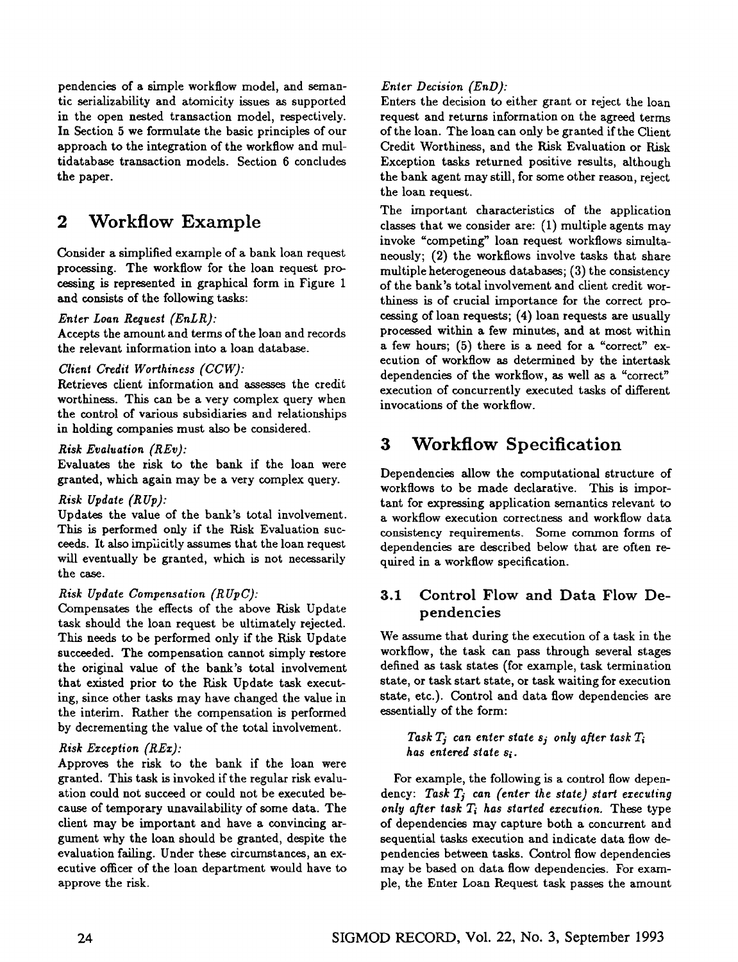pendencies of a simple workflow model, and semantic serializability and atomicity issues as supported in the open nested transaction model, respectively. In Section 5 we formulate the basic principles of our approach to the integration of the workflow and multidatabase transaction models. Section 6 concludes the paper.

## **2 Workflow Example**

Consider a simplified example of a bank loan request processing. The workflow for the loan request processing is represented in graphical form in Figure 1 and consists of the following tasks:

#### *Enter Loan Request (EnLR):*

Accepts the amount and terms of the loan and records the relevant information into a loan database.

#### *Client Credit Worthiness (CCW}:*

Retrieves client information and assesses the credit worthiness. This can be a very complex query when the control of various subsidiaries and relationships in holding companies must also be considered.

#### *Risk Evaluation (REv):*

Evaluates the risk to the bank if the loan were granted, which again may be a very complex query.

#### *Risk Update (RUp):*

Updates the value of the bank's total involvement. This is performed only if the Risk Evaluation succeeds. It also implicitly assumes that the loan request will eventually be granted, which is not necessarily the case.

#### *Risk Update Compensation (RUpC):*

Compensates the effects of the above Risk Update task should the loan request be ultimately rejected. This needs to be performed only if the Risk Update succeeded. The compensation cannot simply restore the original value of the bank's total involvement that existed prior to the Risk Update task executing, since other tasks may have changed the value in the interim. Rather the compensation is performed by decrementing the value of the total involvement.

#### *Risk Ea:ception (REx):*

Approves the risk to the bank if the loan were granted. This task is invoked if the regular risk evaluation could not succeed or could not be executed because of temporary unavailability of some data. The client may be important and have a convincing argument why the loan should be granted, despite the evaluation failing. Under these circumstances, an executive officer of the loan department would have to approve the risk.

#### *Enter Decision (END):*

Enters the decision to either grant or reject the loan request and returns information on the agreed terms of the loan. The loan can only be granted if the Client Credit Worthiness, and the Risk Evaluation or Risk Exception tasks returned positive results, although the bank agent may still, for some other reason, reject the loan request.

The important characteristics of the application classes that we consider are: (1) multiple agents may invoke "competing" loan request work flows simultaneously; (2) the workflows involve tasks that share multiple heterogeneous databases; (3) the consistency of the bank's total involvement and client credit worthiness is of crucial importance for the correct proceasing of loan requests; (4) loan requests axe usually processed within a few minutes, and at most within a few hours; (5) there is a need for a "correct" execution of workflow as determined by the intertask dependencies of the workflow, as well as a "correct" execution of concurrently executed tasks of different invocations of the workflow.

## **3 Workflow Specification**

Dependencies allow the computational structure of workflows to be made declarative. This is important for expressing application semantics relevant to a workflow execution correctness and work flow data consistency requirements. Some common forms of dependencies are described below that are often required in a workflow specification.

### 3.1 Control Flow and Data Flow Dependencies

We assume that during the execution of a task in the workflow, the task can pass through several stages defined as task states (for example, task termination state, or task start state, or task waiting for execution state, etc.). Control and data flow dependencies are essentially of the form:

*Task*  $T_i$  can enter state  $s_i$  only after task  $T_i$ *has entered state si.* 

For example, the following is a control flow dependency: Task  $T_j$  can (enter the state) start executing *only after task Ti has started execution.* These type of dependencies may capture both a concurrent and sequential tasks execution and indicate data flow dependencies between tasks. Control flow dependencies may be based on data flow dependencies. For example, the Enter Loan Request task passes the amount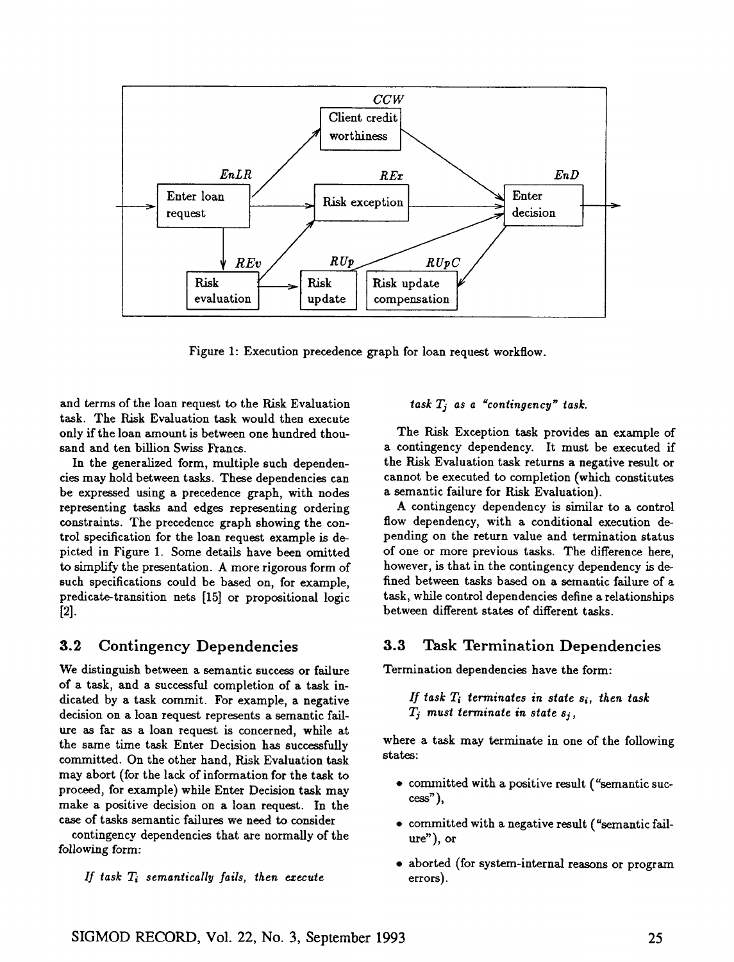

Figure 1: Execution precedence graph for loan request workflow.

and terms of the loan request to the Risk Evaluation task. The Risk Evaluation task would then execute only if the loan amount is between one hundred thousand and ten billion Swiss Francs.

In the generalized form, multiple such dependencies may hold between tasks. These dependencies can be expressed using a precedence graph, with nodes representing tasks and edges representing ordering constraints. The precedence graph showing the control specification for the loan request example is depicted in Figure 1. Some details have been omitted to simplify the presentation. A more rigorous form of such specifications could be based on, for example, predicate-transition nets [15] or propositional logic [2].

### 3.2 Contingency Dependencies

We distinguish between a semantic success or failure of a task, and a successful completion of a task indicated by a task commit. For example, a negative decision on a loan request represents a semantic failure as far as a loan request is concerned, while at the same time task Enter Decision has successfully committed. On the other hand, Risk Evaluation task may abort (for the lack of information for the task to proceed, for example) while Enter Decision task may make a positive decision on a loan request. In the case of tasks semantic failures we need to consider

contingency dependencies that are normally of the following form:

*If task Ti semantically fails, then execute* 

*task Tj as a "contingency" task.* 

The Risk Exception task provides an example of a contingency dependency. It must be executed if the Risk Evaluation task returns a negative result or cannot be executed to completion (which constitutes a semantic failure for Risk Evaluation).

A contingency dependency is similar to a control flow dependency, with a conditional execution depending on the return value and termination status of one or more previous tasks. The difference here, however, is that in the contingency dependency is defined between tasks based on a semantic failure of a task, while control dependencies define a relationships between different states of different tasks.

### 3.3 Task Termination Dependencies

Termination dependencies have the form:

*If task 2~ terminates in state si, then task*   $T_j$  must terminate in state  $s_j$ ,

where a task may terminate in one of the following states:

- committed with a positive result ("semantic suc- $\csc$ "),
- committed with a negative result ("semantic fail $ure$ "), or
- aborted (for system-internal reasons or program errors).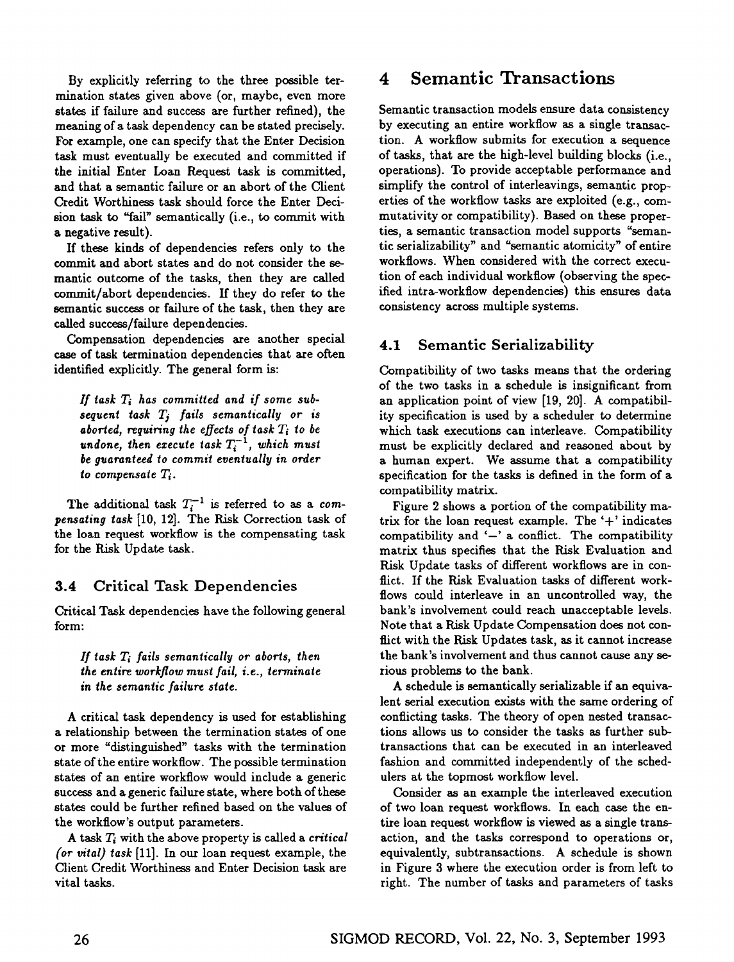By explicitly referring to the three possible termination states given above (or, maybe, even more states if failure and success are further refined), the meaning of a task dependency can be stated precisely. For example, one can specify that the Enter Decision task must eventually be executed and committed if the initial Enter Loan Request task is committed, and that a semantic failure or an abort of the Client Credit Worthiness task should force the Enter Decision task to "fall" semantically (i.e., to commit with a negative result).

If these kinds of dependencies refers only to the commit and abort states and do not consider the semantic outcome of the tasks, then they are called commit/abort dependencies. If they do refer to the semantic success or failure of the task, then they are called success/failure dependencies.

Compensation dependencies are another special case of task termination dependencies that are often identified explicitly. The general form is:

*If task Ti has committed and if some subsequent task Tj fails semantically or is aborted, requiring the effects of task Ti to be undone, then execute task*  $T_i^{-1}$ , which must *be guaranteed to commit eventually in order*   $to$  *compensate*  $T_i$ .

The additional task  $T_i^{-1}$  is referred to as a *compensating task* [10, 12]. The Risk Correction task of the loan request workflow is the compensating task for the Risk Update task.

### 3.4 Critical Task Dependencies

Critical Task dependencies have the following general form:

#### *If task 7~ fails semantically or aborts, then the entire workflow must fail, i.e., terminate in the semantic failure state.*

A critical task dependency is used for establishing a relationship between the termination states of one or more "distinguished" tasks with the termination state of the entire workflow. The possible termination states of an entire workflow would include a generic success and a generic failure state, where both of these states could be further refined based on the values of the workflow's output parameters.

A task  $T_i$  with the above property is called a *critical (or vital} task* [11]. In our loan request example, the Client Credit Worthiness and Enter Decision task are vital tasks.

## **4 Semantic Transactions**

Semantic transaction models ensure data consistency by executing an entire workflow as a single transaction. A workflow submits for execution a sequence of tasks, that are the high-level building blocks (i.e., operations). To provide acceptable performance and simplify the control of interleavings, semantic properties of the workflow tasks are exploited (e.g., commutativity or compatibility). Based on these properties, a semantic transaction model supports "semantic serializability" and "semantic atomicity" of entire workflows. When considered with the correct execution of each individual workflow (observing the specified intra-workflow dependencies) this ensures data consistency across multiple systems.

### 4.1 Semantic Serializability

Compatibility of two tasks means that the ordering of the two tasks in a schedule is insignificant from an application point of view [19, 20]. A compatibility specification is used by a scheduler to determine which task executions can interleave. Compatibility must be explicitly declared and reasoned about by a human expert. We assume that a compatibility specification for the tasks is defined in the form of a compatibility matrix.

Figure 2 shows a portion of the compatibility matrix for the loan request example. The  $+$  indicates compatibility and  $-$ ' a conflict. The compatibility matrix thus specifies that the Risk Evaluation and Risk Update tasks of different workflows are in conflict. If the Risk Evaluation tasks of different workflows could interleave in an uncontrolled way, the bank's involvement could reach unacceptable levels. Note that a Risk Update Compensation does not conflict with the Risk Updates task, as it cannot increase the bank's involvement and thus cannot cause any serious problems to the bank.

A schedule is semantically serializable if an equivalent serial execution exists with the same ordering of conflicting tasks. The theory of open nested transactions allows us to consider the tasks as further subtransactions that can be executed in an interleaved fashion and committed independently of the schedulers at the topmost workflow level.

Consider as an example the interleaved execution of two loan request workflows. In each case the entire loan request work flow is viewed as a single transaction, and the tasks correspond to operations or, equivalently, subtransactions. A schedule is shown in Figure 3 where the execution order is from left to right. The number of tasks and parameters of tasks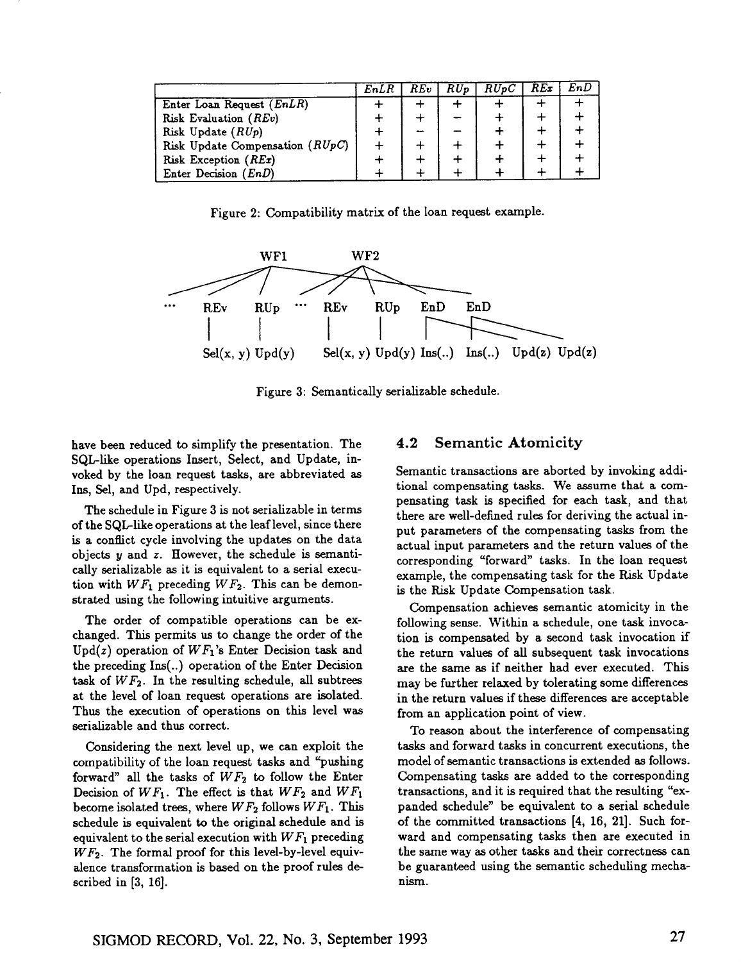|                                 | EnLR | REv | RUp | RUpC | REx | EnD |
|---------------------------------|------|-----|-----|------|-----|-----|
| Enter Loan Request (EnLR)       |      |     |     |      |     |     |
| Risk Evaluation (REv)           |      |     |     |      |     |     |
| Risk Update $(RUp)$             |      |     |     |      |     |     |
| Risk Update Compensation (RUpC) |      |     |     |      |     |     |
| Risk Exception (REx)            |      |     |     |      |     |     |
| Enter Decision $(EnD)$          |      |     |     |      |     |     |

Figure 2: Compatibility matrix of the loan request example.



Figure 3: Semantically serializable schedule.

have been reduced to simplify the presentation. The SQL-like operations Insert, Select, and Update, invoked by the loan request tasks, are abbreviated as Ins, Sel, and Upd, respectively.

The schedule in Figure 3 is not serializable in terms of the SQL-like operations at the leaf level, since there is a conflict cycle involving the updates on the data objects  $y$  and  $z$ . However, the schedule is semantically serializable as it is equivalent to a serial execution with  $WF_1$  preceding  $WF_2$ . This can be demonstrated using the following intuitive arguments.

The order of compatible operations can be exchanged. This permits us to change the order of the Upd(z) operation of *WFI's* Enter Decision task and the preceding Ins(..) operation of the Enter Decision task of  $WF<sub>2</sub>$ . In the resulting schedule, all subtrees at the level of loan request operations are isolated. Thus the execution of operations on this level was serializable and thus correct.

Considering the next level up, we can exploit the compatibility of the loan request tasks and "pushing forward" all the tasks of  $WF_2$  to follow the Enter Decision of *WF1.* The effect is that *WF2* and *WF1*  become isolated trees, where *WF2* follows *WF1. This*  schedule is equivalent to the original schedule and is equivalent to the serial execution with *WF1* preceding *WF2.* The formal proof for this level-by-level equivalence transformation is based on the proof rules described in [3, 16].

### 4.2 Semantic Atomicity

Semantic transactions are aborted by invoking additional compensating tasks. We assume that a compensating task is specified for each task, and that there are well-defined rules for deriving the actual input parameters of the compensating tasks from the actual input parameters and the return values of the corresponding "forward" tasks. In the loan request example, the compensating task for the Risk Update is the Risk Update Compensation task.

Compensation achieves semantic atomicity in the following sense. Within a schedule, one task invocation is compensated by a second task invocation if the return values of all subsequent task invocations are the same as if neither had ever executed. This may be further relaxed by tolerating some differences in the return values if these differences are acceptable from an application point of view.

To reason about the interference of compensating tasks and forward tasks in concurrent executions, the model of semantic transactions is extended as follows. Compensating tasks are added to the corresponding transactions, and it is required that the resulting "expanded schedule" be equivalent to a serial schedule of the committed transactions [4, 16, 21]. Such forward and compensating tasks then are executed in the same way as other tasks and their correctness can be guaranteed using the semantic scheduling mechanism.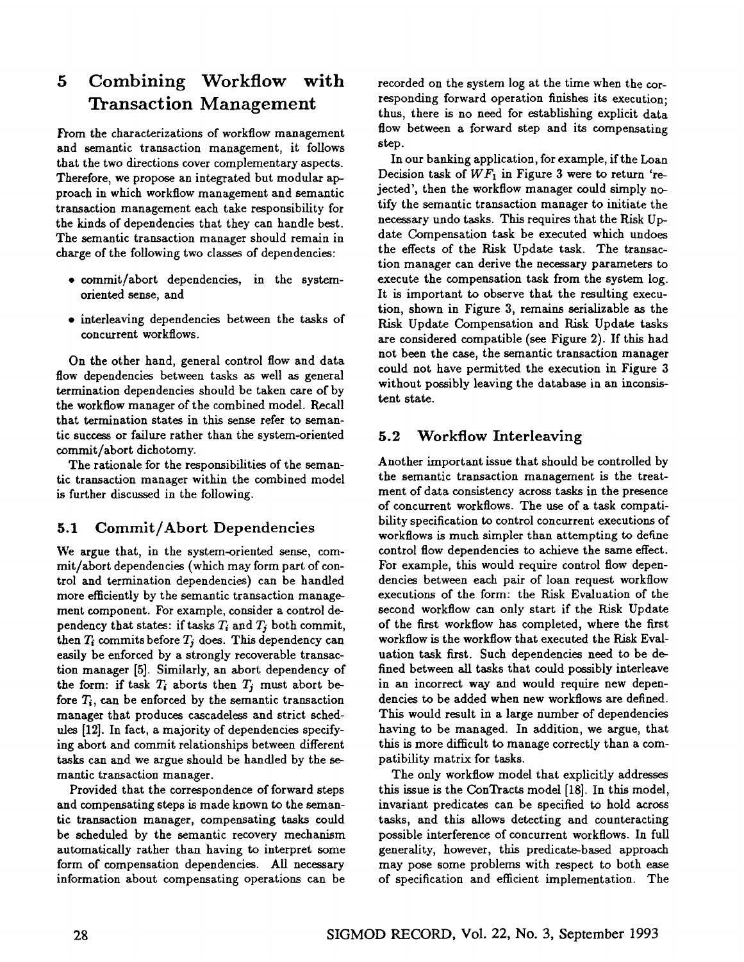## **5 Combining Workflow with Transaction Management**

From the characterizations of workflow management and semantic transaction management, it follows that the two directions cover complementary aspects. Therefore, we propose an integrated but modular approach in which workflow management and semantic transaction management each take responsibility for the kinds of dependencies that they can handle best. The semantic transaction manager should remain in charge of the following two classes of dependencies:

- commit/abort dependencies, in the systemoriented sense, and
- interleaving dependencies between the tasks of concurrent workflows.

On the other hand, general control flow and data flow dependencies between tasks as well as general termination dependencies should be taken care of by the workflow manager of the combined model. Recall that termination states in this sense refer to semantic success or failure rather than the system-oriented commit/abort dichotomy.

The rationale for the responsibilities of the semantic transaction manager within the combined model is further discussed in the following.

### 5.1 Commit/Abort Dependencies

We argue that, in the system-oriented sense, commit/abort dependencies (which may form part of control and termination dependencies) can be handled more efficiently by the semantic transaction management component. For example, consider a control dependency that states: if tasks  $T_i$  and  $T_j$  both commit, then  $T_i$  commits before  $T_j$  does. This dependency can easily be enforced by a strongly recoverable transaction manager [5]. Similarly, an abort dependency of the form: if task  $T_i$  aborts then  $T_j$  must abort before  $T_i$ , can be enforced by the semantic transaction manager that produces cascadeless and strict schedules [12]. In fact, a majority of dependencies specifying abort and commit relationships between different tasks can and we argue should be handled by the semantic transaction manager.

Provided that the correspondence of forward steps and compensating steps is made known to the semantic transaction manager, compensating tasks could be scheduled by the semantic recovery mechanism automatically rather than having to interpret some form of compensation dependencies. All necessary information about compensating operations can be

recorded on the system log at the time when the corresponding forward operation finishes its execution; thus, there is no need for establishing explicit data flow between a forward step and its compensating step.

In our banking application, for example, if the Loan Decision task of  $WF_1$  in Figure 3 were to return 'rejected', then the workflow manager could simply notify the semantic transaction manager to initiate the necessary undo tasks. This requires that the Risk Update Compensation task be executed which undoes the effects of the Risk Update task. The transaction manager can derive the necessary parameters to execute the compensation task from the system log. It is important to observe that the resulting execution, shown in Figure 3, remains serializable as the Risk Update Compensation and Risk Update tasks are considered compatible (see Figure 2). If this had not been the case, the semantic transaction manager could not have permitted the execution in Figure 3 without possibly leaving the database in an inconsistent state.

### 5.2 Workflow Interleaving

Another important issue that should be controlled by the semantic transaction management is the treatment of data consistency across tasks in the presence of concurrent workflows. The use of a task compatibility specification to control concurrent executions of workflows is much simpler than attempting to define control flow dependencies to achieve the same effect. For example, this would require control flow dependencies between each pair of loan request workflow executions of the form: the Risk Evaluation of the second workflow can only start if the Risk Update of the first workflow has completed, where the first workflow is the workflow that executed the Risk Evaluation task first. Such dependencies need to be defined between all tasks that could possibly interleave in an incorrect way and would require new dependencies to be added when new workflows are defined. This would result in a large number of dependencies having to be managed. In addition, we argue, that this is more difficult to manage correctly than a compatibility matrix for tasks.

The only workflow model that explicitly addresses this issue is the ConTracts model [18]. In this model, invariant predicates can be specified to hold across tasks, and this allows detecting and counteracting possible interference of concurrent workflows. In full generality, however, this predicate-based approach may pose some problems with respect to both ease of specification and efficient implementation. The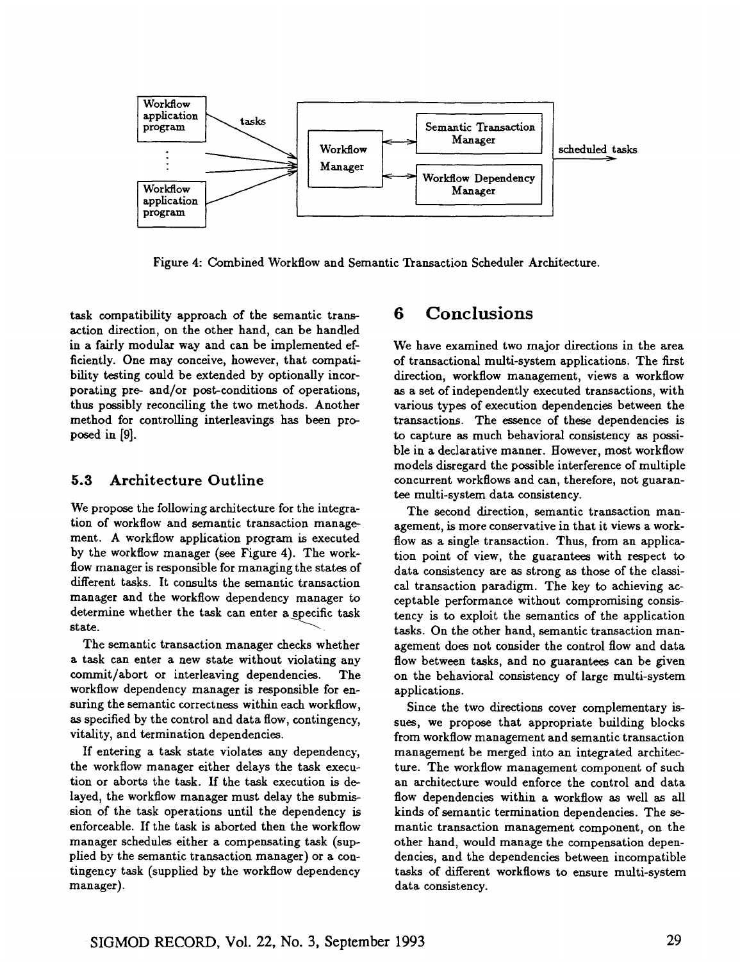

Figure 4: Combined Workflow and Semantic Transaction Scheduler Architecture.

task compatibility approach of the semantic transaction direction, on the other hand, can be handled in a fairly modular way and can be implemented efficiently. One may conceive, however, that compatibility testing could be extended by optionally incorporating pre- and/or post-conditions of operations, thus possibly reconciling the two methods. Another method for controlling interleavings has been proposed in [9].

### 5.3 Architecture Outline

We propose the following architecture for the integration of workflow and semantic transaction management. A workflow application program is executed by the workflow manager (see Figure 4). The workflow manager is responsible for managing the states of different tasks. It consults the semantic transaction manager and the workflow dependency manager to determine whether the task can enter a specific task state.

The semantic transaction manager checks whether a task can enter a new state without violating any commit/abort or interleaving dependencies. The work flow dependency manager is responsible for ensuring the semantic correctness within each workflow, as specified by the control and data flow, contingency, vitality, and termination dependencies.

If entering a task state violates any dependency, the workflow manager either delays the task execution or aborts the task. If the task execution is delayed, the workflow manager must delay the submission of the task operations until the dependency is enforceable. If the task is aborted then the workflow manager schedules either a compensating task (supplied by the semantic transaction manager) or a contingency task (supplied by the workflow dependency manager).

## **6 Conclusions**

We have examined two major directions in the area of transactional multi-system applications. The first direction, workflow management, views a workflow as a set of independently executed transactions, with various types of execution dependencies between the transactions. The essence of these dependencies is to capture as much behavioral consistency as possible in a declarative manner. However, most workflow models disregard the possible interference of multiple concurrent workflows and can, therefore, not guarantee multi-system data consistency.

The second direction, semantic transaction management, is more conservative in that it views a workflow as a single transaction. Thus, from an application point of view, the guarantees with respect to data consistency are as strong as those of the classical transaction paradigm. The key to achieving acceptable performance without compromising consistency is to exploit the semantics of the application tasks. On the other hand, semantic transaction management does not consider the control flow and data flow between tasks, and no guarantees can be given on the behavioral consistency of large multi-system appLications.

Since the two directions cover complementary issues, we propose that appropriate building blocks from workflow management and semantic transaction management be merged into an integrated architecture. The workflow management component of such an architecture would enforce the control and data flow dependencies within a workflow as well as all kinds of semantic termination dependencies. The semantic transaction management component, on the other hand, would manage the compensation dependencies, and the dependencies between incompatible tasks of different workflows to ensure multi-system data consistency.